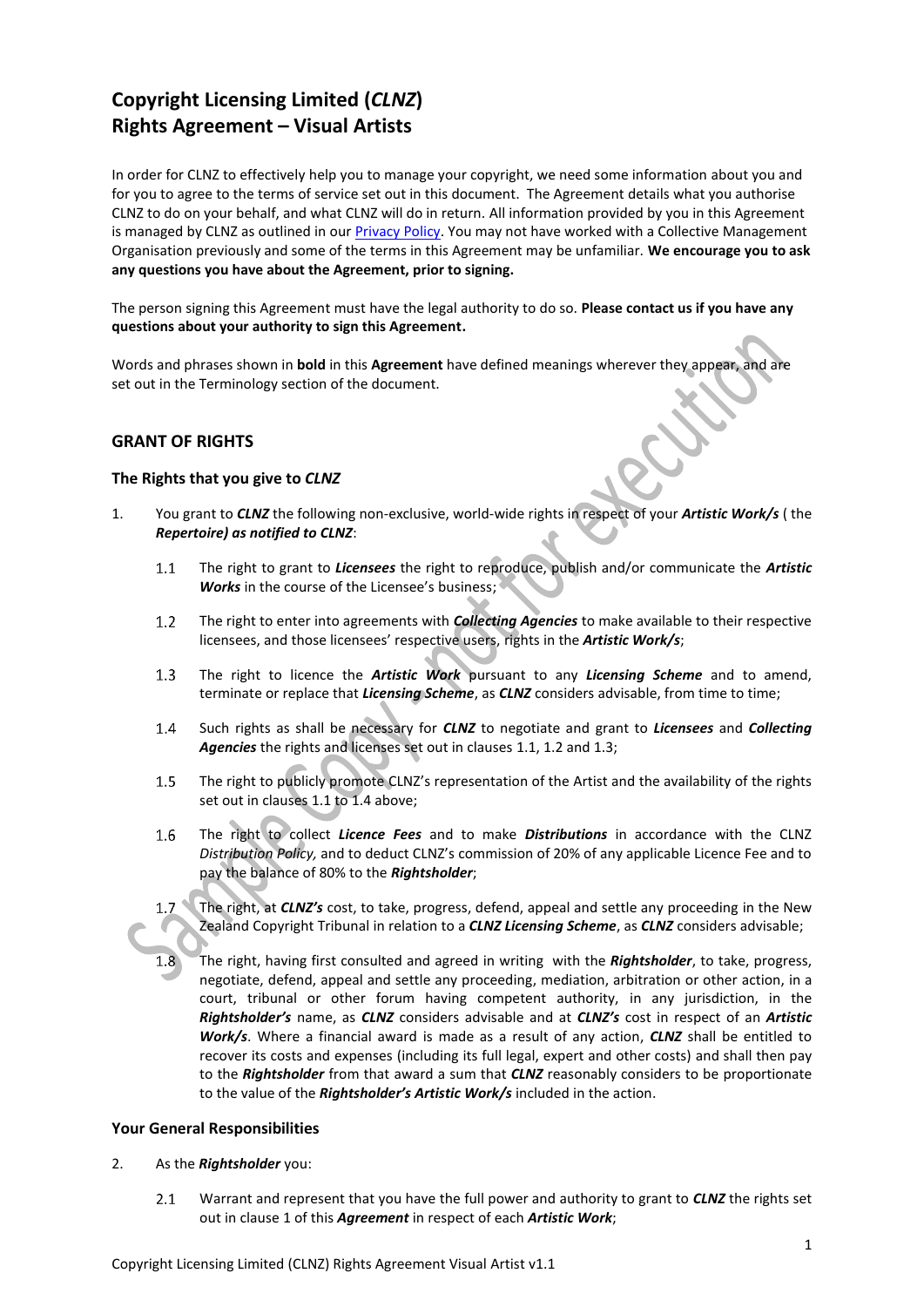# **Copyright Licensing Limited (***CLNZ***) Rights Agreement – Visual Artists**

In order for CLNZ to effectively help you to manage your copyright, we need some information about you and for you to agree to the terms of service set out in this document. The Agreement details what you authorise CLNZ to do on your behalf, and what CLNZ will do in return. All information provided by you in this Agreement is managed by CLNZ as outlined in ou[r Privacy Policy.](http://copyright.co.nz/privacy-policy) You may not have worked with a Collective Management Organisation previously and some of the terms in this Agreement may be unfamiliar. **We encourage you to ask any questions you have about the Agreement, prior to signing.**

The person signing this Agreement must have the legal authority to do so. **Please contact us if you have any questions about your authority to sign this Agreement.**

Words and phrases shown in **bold** in this **Agreement** have defined meanings wherever they appear, and are set out in the Terminology section of the document.

## **GRANT OF RIGHTS**

#### **The Rights that you give to** *CLNZ*

- <span id="page-0-4"></span><span id="page-0-3"></span><span id="page-0-2"></span><span id="page-0-1"></span><span id="page-0-0"></span>1. You grant to *CLNZ* the following non-exclusive, world-wide rights in respect of your *Artistic Work/s* ( the *Repertoire) as notified to CLNZ*:
	- The right to grant to *Licensees* the right to reproduce, publish and/or communicate the *Artistic*   $1.1$ **Works** in the course of the Licensee's business;
	- $1.2$ The right to enter into agreements with *Collecting Agencies* to make available to their respective licensees, and those licensees' respective users, rights in the *Artistic Work/s*;
	- The right to licence the *Artistic Work* pursuant to any *Licensing Scheme* and to amend,  $1.3$ terminate or replace that *Licensing Scheme*, as *CLNZ* considers advisable, from time to time;
	- Such rights as shall be necessary for *CLNZ* to negotiate and grant to *Licensees* and *Collecting*   $1.4$ *Agencies* the rights and licenses set out in clause[s 1.1,](#page-0-0) [1.2](#page-0-1) an[d 1.3;](#page-0-2)
	- $1.5$ The right to publicly promote CLNZ's representation of the Artist and the availability of the rights set out in clauses [1.1](#page-0-0) t[o 1.4](#page-0-3) above;
	- $1.6$ The right to collect *Licence Fees* and to make *Distributions* in accordance with the CLNZ *Distribution Policy,* and to deduct CLNZ's commission of 20% of any applicable Licence Fee and to pay the balance of 80% to the *Rightsholder*;
	- The right, at *CLNZ's* cost, to take, progress, defend, appeal and settle any proceeding in the New  $1.7$ Zealand Copyright Tribunal in relation to a *CLNZ Licensing Scheme*, as *CLNZ* considers advisable;
	- $1.8$ The right, having first consulted and agreed in writing with the *Rightsholder*, to take, progress, negotiate, defend, appeal and settle any proceeding, mediation, arbitration or other action, in a court, tribunal or other forum having competent authority, in any jurisdiction, in the *Rightsholder's* name, as *CLNZ* considers advisable and at *CLNZ's* cost in respect of an *Artistic Work/s*. Where a financial award is made as a result of any action, *CLNZ* shall be entitled to recover its costs and expenses (including its full legal, expert and other costs) and shall then pay to the *Rightsholder* from that award a sum that *CLNZ* reasonably considers to be proportionate to the value of the *Rightsholder's Artistic Work/s* included in the action.

#### **Your General Responsibilities**

- <span id="page-0-5"></span>2. As the *Rightsholder* you:
	- $2.1$ Warrant and represent that you have the full power and authority to grant to *CLNZ* the rights set out in claus[e 1](#page-0-4) of this *Agreement* in respect of each *Artistic Work*;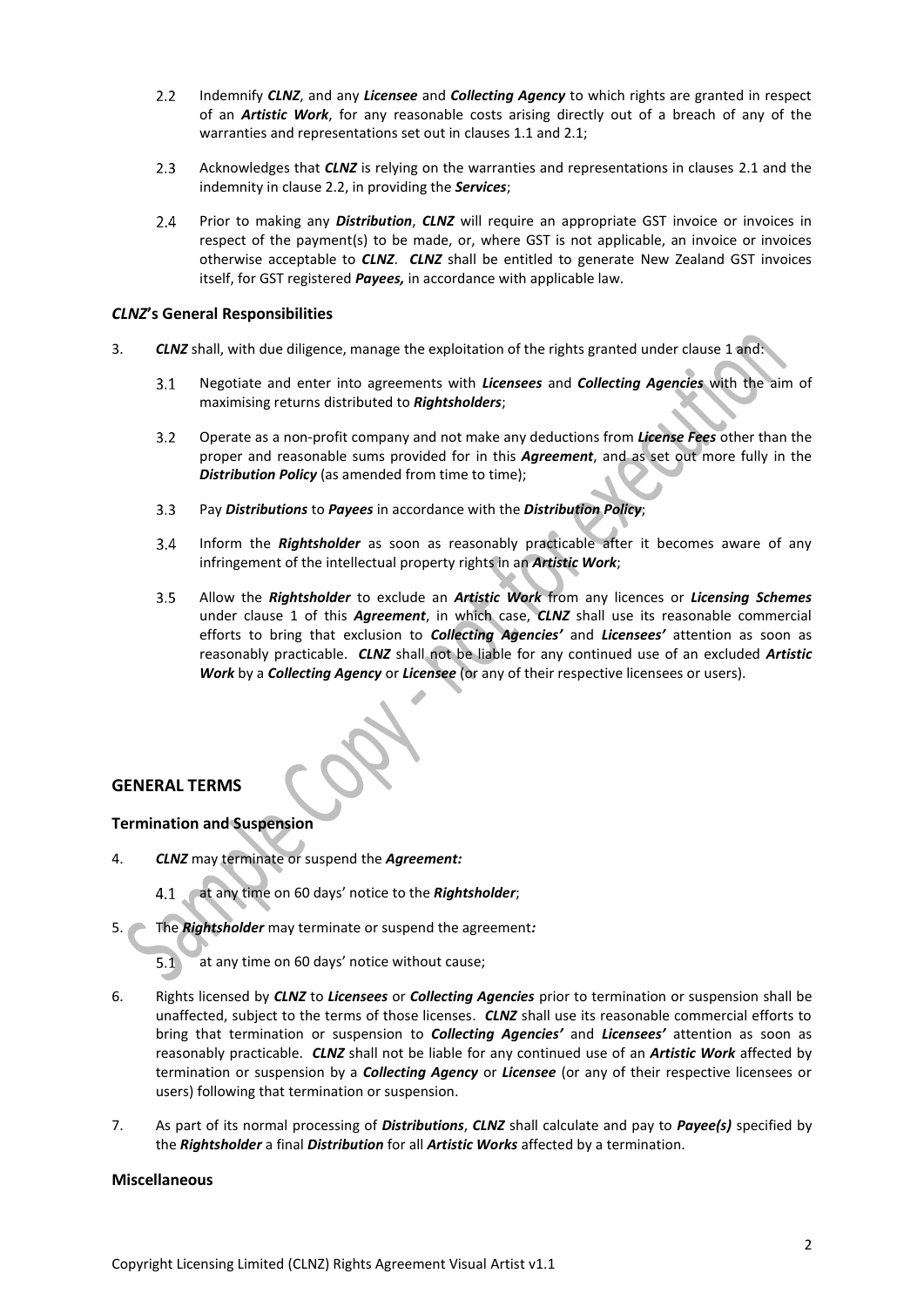- <span id="page-1-0"></span> $2.2$ Indemnify *CLNZ*, and any *Licensee* and *Collecting Agency* to which rights are granted in respect of an *Artistic Work*, for any reasonable costs arising directly out of a breach of any of the warranties and representations set out in clauses 1.1 and [2.1;](#page-0-5)
- $2.3$ Acknowledges that *CLNZ* is relying on the warranties and representations in clauses [2.1](#page-0-5) and the indemnity in claus[e 2.2,](#page-1-0) in providing the *Services*;
- $2.4$ Prior to making any *Distribution*, *CLNZ* will require an appropriate GST invoice or invoices in respect of the payment(s) to be made, or, where GST is not applicable, an invoice or invoices otherwise acceptable to *CLNZ*. *CLNZ* shall be entitled to generate New Zealand GST invoices itself, for GST registered *Payees,* in accordance with applicable law.

#### *CLNZ***'s General Responsibilities**

- <span id="page-1-1"></span>3. *CLNZ* shall, with due diligence, manage the exploitation of the rights granted under clause [1](#page-0-4) and:
	- Negotiate and enter into agreements with *Licensees* and *Collecting Agencies* with the aim of  $3.1$ maximising returns distributed to *Rightsholders*;
	- Operate as a non-profit company and not make any deductions from *License Fees* other than the  $3.2$ proper and reasonable sums provided for in this *Agreement*, and as set out more fully in the **Distribution Policy** (as amended from time to time);
	- $3.3<sub>2</sub>$ Pay *Distributions* to *Payees* in accordance with the *Distribution Policy*;
	- Inform the *Rightsholder* as soon as reasonably practicable after it becomes aware of any  $3.4$ infringement of the intellectual property rights in an *Artistic Work*;
	- $3.5$ Allow the *Rightsholder* to exclude an *Artistic Work* from any licences or *Licensing Schemes* under clause [1](#page-0-4) of this *Agreement*, in which case, *CLNZ* shall use its reasonable commercial efforts to bring that exclusion to *Collecting Agencies'* and *Licensees'* attention as soon as reasonably practicable. *CLNZ* shall not be liable for any continued use of an excluded *Artistic Work* by a *Collecting Agency* or *Licensee* (or any of their respective licensees or users).

## **GENERAL TERMS**

## **Termination and Suspension**

- 4. *CLNZ* may terminate or suspend the *Agreement:*
	- at any time on 60 days' notice to the *Rightsholder*;
- 5. The *Rightsholder* may terminate or suspend the agreement*:*

 $5.1$ at any time on 60 days' notice without cause;

- 6. Rights licensed by *CLNZ* to *Licensees* or *Collecting Agencies* prior to termination or suspension shall be unaffected, subject to the terms of those licenses. *CLNZ* shall use its reasonable commercial efforts to bring that termination or suspension to *Collecting Agencies'* and *Licensees'* attention as soon as reasonably practicable. *CLNZ* shall not be liable for any continued use of an *Artistic Work* affected by termination or suspension by a *Collecting Agency* or *Licensee* (or any of their respective licensees or users) following that termination or suspension.
- 7. As part of its normal processing of *Distributions*, *CLNZ* shall calculate and pay to *Payee(s)* specified by the *Rightsholder* a final *Distribution* for all *Artistic Works* affected by a termination.

#### **Miscellaneous**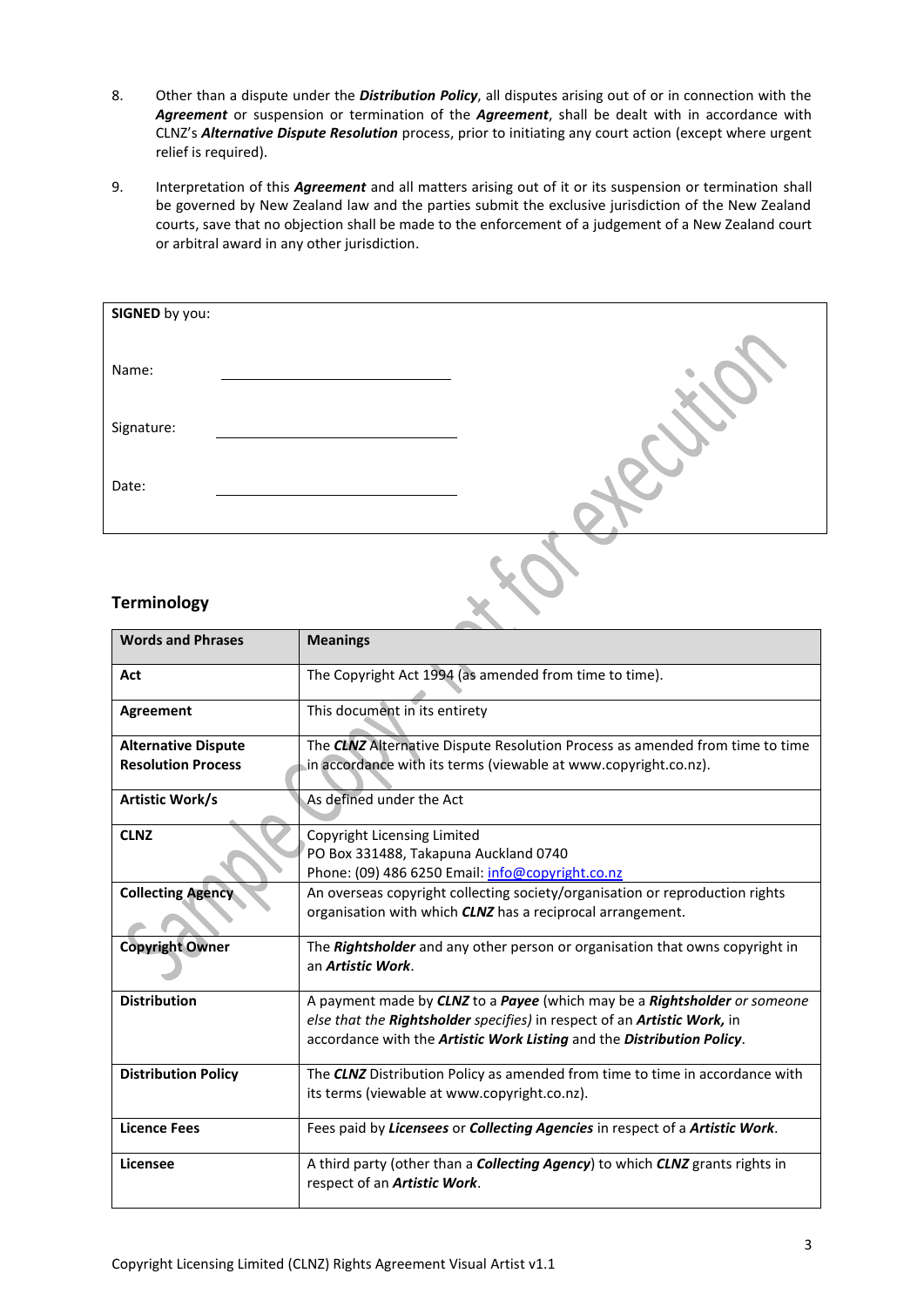- 8. Other than a dispute under the *Distribution Policy*, all disputes arising out of or in connection with the *Agreement* or suspension or termination of the *Agreement*, shall be dealt with in accordance with CLNZ's *Alternative Dispute Resolution* process, prior to initiating any court action (except where urgent relief is required).
- 9. Interpretation of this *Agreement* and all matters arising out of it or its suspension or termination shall be governed by New Zealand law and the parties submit the exclusive jurisdiction of the New Zealand courts, save that no objection shall be made to the enforcement of a judgement of a New Zealand court or arbitral award in any other jurisdiction.

| SIGNED by you: |  |
|----------------|--|
|                |  |
| Name:          |  |
| Signature:     |  |
| Date:          |  |
|                |  |
|                |  |

## **Terminology**

| <b>Words and Phrases</b>   | <b>Meanings</b>                                                                                                                                   |  |
|----------------------------|---------------------------------------------------------------------------------------------------------------------------------------------------|--|
| Act                        | The Copyright Act 1994 (as amended from time to time).                                                                                            |  |
| Agreement                  | This document in its entirety                                                                                                                     |  |
| <b>Alternative Dispute</b> | The <b>CLNZ</b> Alternative Dispute Resolution Process as amended from time to time                                                               |  |
| <b>Resolution Process</b>  | in accordance with its terms (viewable at www.copyright.co.nz).                                                                                   |  |
| Artistic Work/s            | As defined under the Act                                                                                                                          |  |
| <b>CLNZ</b>                | Copyright Licensing Limited                                                                                                                       |  |
|                            | PO Box 331488, Takapuna Auckland 0740                                                                                                             |  |
|                            | Phone: (09) 486 6250 Email: info@copyright.co.nz                                                                                                  |  |
| <b>Collecting Agency</b>   | An overseas copyright collecting society/organisation or reproduction rights<br>organisation with which <b>CLNZ</b> has a reciprocal arrangement. |  |
| <b>Copyright Owner</b>     | The <b>Rightsholder</b> and any other person or organisation that owns copyright in<br>an Artistic Work.                                          |  |
| <b>Distribution</b>        | A payment made by <b>CLNZ</b> to a <b>Payee</b> (which may be a <b>Rightsholder</b> or someone                                                    |  |
|                            | else that the Rightsholder specifies) in respect of an Artistic Work, in                                                                          |  |
|                            | accordance with the Artistic Work Listing and the Distribution Policy.                                                                            |  |
| <b>Distribution Policy</b> | The <b>CLNZ</b> Distribution Policy as amended from time to time in accordance with                                                               |  |
|                            | its terms (viewable at www.copyright.co.nz).                                                                                                      |  |
| <b>Licence Fees</b>        | Fees paid by Licensees or Collecting Agencies in respect of a Artistic Work.                                                                      |  |
| Licensee                   | A third party (other than a <b>Collecting Agency</b> ) to which <b>CLNZ</b> grants rights in<br>respect of an Artistic Work.                      |  |